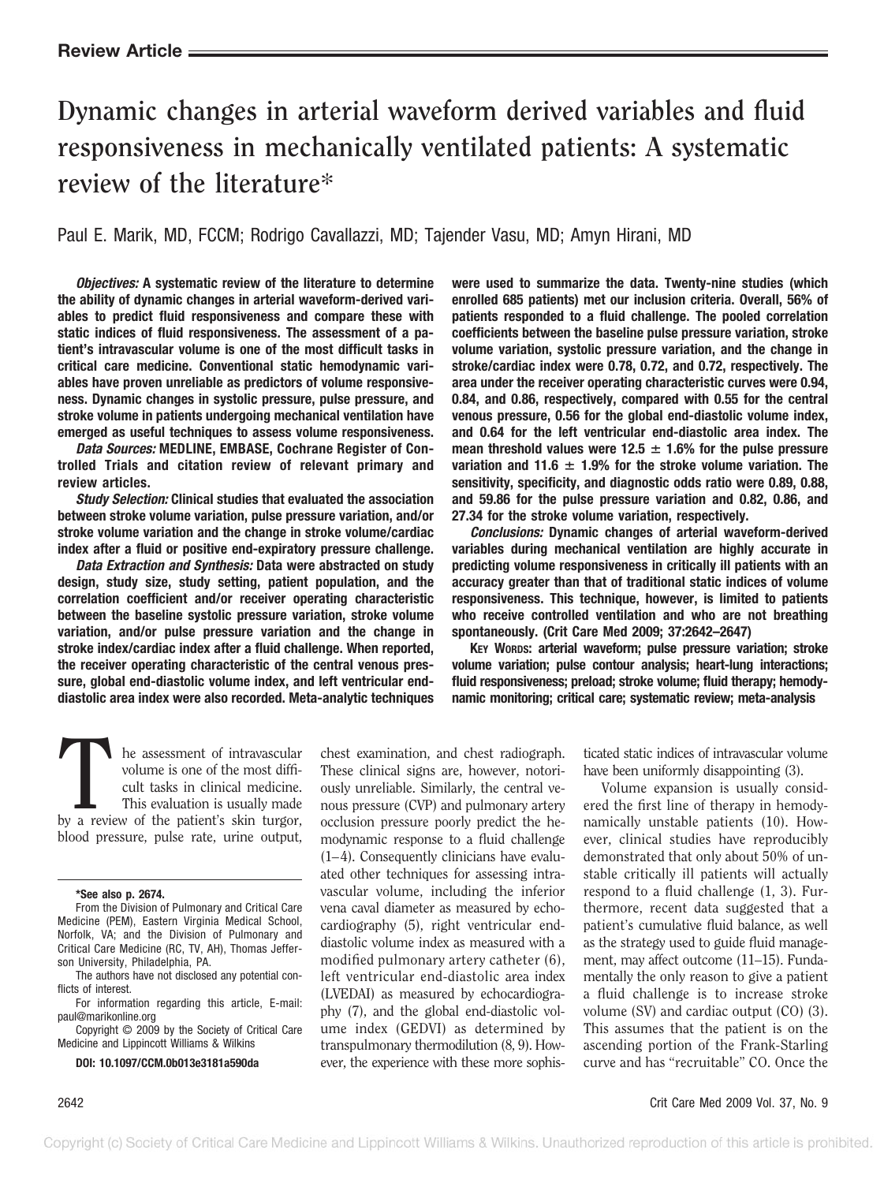# **Dynamic changes in arterial waveform derived variables and fluid responsiveness in mechanically ventilated patients: A systematic review of the literature\***

Paul E. Marik, MD, FCCM; Rodrigo Cavallazzi, MD; Tajender Vasu, MD; Amyn Hirani, MD

*Objectives:* **A systematic review of the literature to determine the ability of dynamic changes in arterial waveform-derived variables to predict fluid responsiveness and compare these with static indices of fluid responsiveness. The assessment of a patient's intravascular volume is one of the most difficult tasks in critical care medicine. Conventional static hemodynamic variables have proven unreliable as predictors of volume responsiveness. Dynamic changes in systolic pressure, pulse pressure, and stroke volume in patients undergoing mechanical ventilation have emerged as useful techniques to assess volume responsiveness.**

*Data Sources:* **MEDLINE, EMBASE, Cochrane Register of Controlled Trials and citation review of relevant primary and review articles.**

*Study Selection:* **Clinical studies that evaluated the association between stroke volume variation, pulse pressure variation, and/or stroke volume variation and the change in stroke volume/cardiac index after a fluid or positive end-expiratory pressure challenge.**

*Data Extraction and Synthesis:* **Data were abstracted on study design, study size, study setting, patient population, and the correlation coefficient and/or receiver operating characteristic between the baseline systolic pressure variation, stroke volume variation, and/or pulse pressure variation and the change in stroke index/cardiac index after a fluid challenge. When reported, the receiver operating characteristic of the central venous pressure, global end-diastolic volume index, and left ventricular enddiastolic area index were also recorded. Meta-analytic techniques** **were used to summarize the data. Twenty-nine studies (which enrolled 685 patients) met our inclusion criteria. Overall, 56% of patients responded to a fluid challenge. The pooled correlation coefficients between the baseline pulse pressure variation, stroke volume variation, systolic pressure variation, and the change in stroke/cardiac index were 0.78, 0.72, and 0.72, respectively. The area under the receiver operating characteristic curves were 0.94, 0.84, and 0.86, respectively, compared with 0.55 for the central venous pressure, 0.56 for the global end-diastolic volume index, and 0.64 for the left ventricular end-diastolic area index. The mean threshold values were 12.5**  $\pm$  **1.6% for the pulse pressure variation and 11.6**  $\pm$  **1.9% for the stroke volume variation. The sensitivity, specificity, and diagnostic odds ratio were 0.89, 0.88, and 59.86 for the pulse pressure variation and 0.82, 0.86, and 27.34 for the stroke volume variation, respectively.**

*Conclusions:* **Dynamic changes of arterial waveform-derived variables during mechanical ventilation are highly accurate in predicting volume responsiveness in critically ill patients with an accuracy greater than that of traditional static indices of volume responsiveness. This technique, however, is limited to patients who receive controlled ventilation and who are not breathing spontaneously. (Crit Care Med 2009; 37:2642–2647)**

**KEY WORDS: arterial waveform; pulse pressure variation; stroke volume variation; pulse contour analysis; heart-lung interactions; fluid responsiveness; preload; stroke volume; fluid therapy; hemodynamic monitoring; critical care; systematic review; meta-analysis**

The assessment of intravascular<br>
volume is one of the most diffi-<br>
cult tasks in clinical medicine.<br>
This evaluation is usually made<br>
by a review of the patient's skin turgor, volume is one of the most difficult tasks in clinical medicine. This evaluation is usually made blood pressure, pulse rate, urine output,

#### **\*See also p. 2674.**

From the Division of Pulmonary and Critical Care Medicine (PEM), Eastern Virginia Medical School, Norfolk, VA; and the Division of Pulmonary and Critical Care Medicine (RC, TV, AH), Thomas Jefferson University, Philadelphia, PA.

The authors have not disclosed any potential conflicts of interest.

For information regarding this article, E-mail: paul@marikonline.org

Copyright © 2009 by the Society of Critical Care Medicine and Lippincott Williams & Wilkins

**DOI: 10.1097/CCM.0b013e3181a590da**

chest examination, and chest radiograph. These clinical signs are, however, notoriously unreliable. Similarly, the central venous pressure (CVP) and pulmonary artery occlusion pressure poorly predict the hemodynamic response to a fluid challenge  $(1-4)$ . Consequently clinicians have evaluated other techniques for assessing intravascular volume, including the inferior vena caval diameter as measured by echocardiography (5), right ventricular enddiastolic volume index as measured with a modified pulmonary artery catheter (6), left ventricular end-diastolic area index (LVEDAI) as measured by echocardiography (7), and the global end-diastolic volume index (GEDVI) as determined by transpulmonary thermodilution (8, 9). However, the experience with these more sophis-

ticated static indices of intravascular volume have been uniformly disappointing (3).

Volume expansion is usually considered the first line of therapy in hemodynamically unstable patients (10). However, clinical studies have reproducibly demonstrated that only about 50% of unstable critically ill patients will actually respond to a fluid challenge (1, 3). Furthermore, recent data suggested that a patient's cumulative fluid balance, as well as the strategy used to guide fluid management, may affect outcome (11–15). Fundamentally the only reason to give a patient a fluid challenge is to increase stroke volume (SV) and cardiac output (CO) (3). This assumes that the patient is on the ascending portion of the Frank-Starling curve and has "recruitable" CO. Once the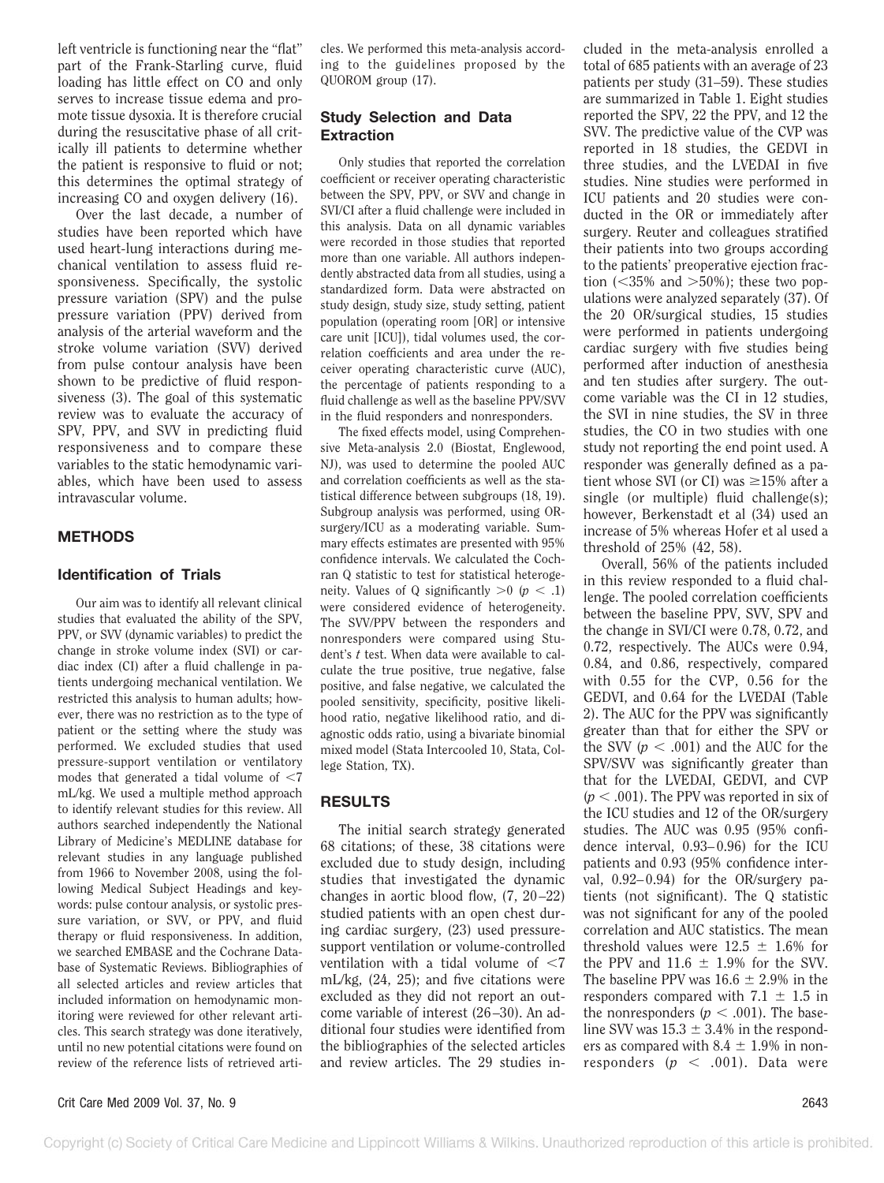left ventricle is functioning near the "flat" part of the Frank-Starling curve, fluid loading has little effect on CO and only serves to increase tissue edema and promote tissue dysoxia. It is therefore crucial during the resuscitative phase of all critically ill patients to determine whether the patient is responsive to fluid or not; this determines the optimal strategy of increasing CO and oxygen delivery (16).

Over the last decade, a number of studies have been reported which have used heart-lung interactions during mechanical ventilation to assess fluid responsiveness. Specifically, the systolic pressure variation (SPV) and the pulse pressure variation (PPV) derived from analysis of the arterial waveform and the stroke volume variation (SVV) derived from pulse contour analysis have been shown to be predictive of fluid responsiveness (3). The goal of this systematic review was to evaluate the accuracy of SPV, PPV, and SVV in predicting fluid responsiveness and to compare these variables to the static hemodynamic variables, which have been used to assess intravascular volume.

## **METHODS**

### **Identification of Trials**

Our aim was to identify all relevant clinical studies that evaluated the ability of the SPV, PPV, or SVV (dynamic variables) to predict the change in stroke volume index (SVI) or cardiac index (CI) after a fluid challenge in patients undergoing mechanical ventilation. We restricted this analysis to human adults; however, there was no restriction as to the type of patient or the setting where the study was performed. We excluded studies that used pressure-support ventilation or ventilatory modes that generated a tidal volume of  $\leq 7$ mL/kg. We used a multiple method approach to identify relevant studies for this review. All authors searched independently the National Library of Medicine's MEDLINE database for relevant studies in any language published from 1966 to November 2008, using the following Medical Subject Headings and keywords: pulse contour analysis, or systolic pressure variation, or SVV, or PPV, and fluid therapy or fluid responsiveness. In addition, we searched EMBASE and the Cochrane Database of Systematic Reviews. Bibliographies of all selected articles and review articles that included information on hemodynamic monitoring were reviewed for other relevant articles. This search strategy was done iteratively, until no new potential citations were found on review of the reference lists of retrieved arti-

cles. We performed this meta-analysis according to the guidelines proposed by the QUOROM group (17).

# **Study Selection and Data Extraction**

Only studies that reported the correlation coefficient or receiver operating characteristic between the SPV, PPV, or SVV and change in SVI/CI after a fluid challenge were included in this analysis. Data on all dynamic variables were recorded in those studies that reported more than one variable. All authors independently abstracted data from all studies, using a standardized form. Data were abstracted on study design, study size, study setting, patient population (operating room [OR] or intensive care unit [ICU]), tidal volumes used, the correlation coefficients and area under the receiver operating characteristic curve (AUC), the percentage of patients responding to a fluid challenge as well as the baseline PPV/SVV in the fluid responders and nonresponders.

The fixed effects model, using Comprehensive Meta-analysis 2.0 (Biostat, Englewood, NJ), was used to determine the pooled AUC and correlation coefficients as well as the statistical difference between subgroups (18, 19). Subgroup analysis was performed, using ORsurgery/ICU as a moderating variable. Summary effects estimates are presented with 95% confidence intervals. We calculated the Cochran Q statistic to test for statistical heterogeneity. Values of Q significantly  $>0$  ( $p < 0.1$ ) were considered evidence of heterogeneity. The SVV/PPV between the responders and nonresponders were compared using Student's *t* test. When data were available to calculate the true positive, true negative, false positive, and false negative, we calculated the pooled sensitivity, specificity, positive likelihood ratio, negative likelihood ratio, and diagnostic odds ratio, using a bivariate binomial mixed model (Stata Intercooled 10, Stata, College Station, TX).

# **RESULTS**

The initial search strategy generated 68 citations; of these, 38 citations were excluded due to study design, including studies that investigated the dynamic changes in aortic blood flow,  $(7, 20-22)$ studied patients with an open chest during cardiac surgery, (23) used pressuresupport ventilation or volume-controlled ventilation with a tidal volume of  $<$ 7 mL/kg, (24, 25); and five citations were excluded as they did not report an outcome variable of interest (26 –30). An additional four studies were identified from the bibliographies of the selected articles and review articles. The 29 studies included in the meta-analysis enrolled a total of 685 patients with an average of 23 patients per study (31–59). These studies are summarized in Table 1. Eight studies reported the SPV, 22 the PPV, and 12 the SVV. The predictive value of the CVP was reported in 18 studies, the GEDVI in three studies, and the LVEDAI in five studies. Nine studies were performed in ICU patients and 20 studies were conducted in the OR or immediately after surgery. Reuter and colleagues stratified their patients into two groups according to the patients' preoperative ejection fraction ( $\langle 35\% \rangle$  and  $>50\%$ ); these two populations were analyzed separately (37). Of the 20 OR/surgical studies, 15 studies were performed in patients undergoing cardiac surgery with five studies being performed after induction of anesthesia and ten studies after surgery. The outcome variable was the CI in 12 studies, the SVI in nine studies, the SV in three studies, the CO in two studies with one study not reporting the end point used. A responder was generally defined as a patient whose SVI (or CI) was  $\geq 15\%$  after a single (or multiple) fluid challenge(s); however, Berkenstadt et al (34) used an increase of 5% whereas Hofer et al used a threshold of 25% (42, 58).

Overall, 56% of the patients included in this review responded to a fluid challenge. The pooled correlation coefficients between the baseline PPV, SVV, SPV and the change in SVI/CI were 0.78, 0.72, and 0.72, respectively. The AUCs were 0.94, 0.84, and 0.86, respectively, compared with 0.55 for the CVP, 0.56 for the GEDVI, and 0.64 for the LVEDAI (Table 2). The AUC for the PPV was significantly greater than that for either the SPV or the SVV  $(p < .001)$  and the AUC for the SPV/SVV was significantly greater than that for the LVEDAI, GEDVI, and CVP  $(p < .001)$ . The PPV was reported in six of the ICU studies and 12 of the OR/surgery studies. The AUC was 0.95 (95% confidence interval, 0.93– 0.96) for the ICU patients and 0.93 (95% confidence interval,  $0.92-0.94$ ) for the OR/surgery patients (not significant). The Q statistic was not significant for any of the pooled correlation and AUC statistics. The mean threshold values were  $12.5 \pm 1.6\%$  for the PPV and  $11.6 \pm 1.9\%$  for the SVV. The baseline PPV was  $16.6 \pm 2.9\%$  in the responders compared with  $7.1 \pm 1.5$  in the nonresponders  $(p < .001)$ . The baseline SVV was  $15.3 \pm 3.4\%$  in the responders as compared with  $8.4 \pm 1.9\%$  in nonresponders  $(p \lt .001)$ . Data were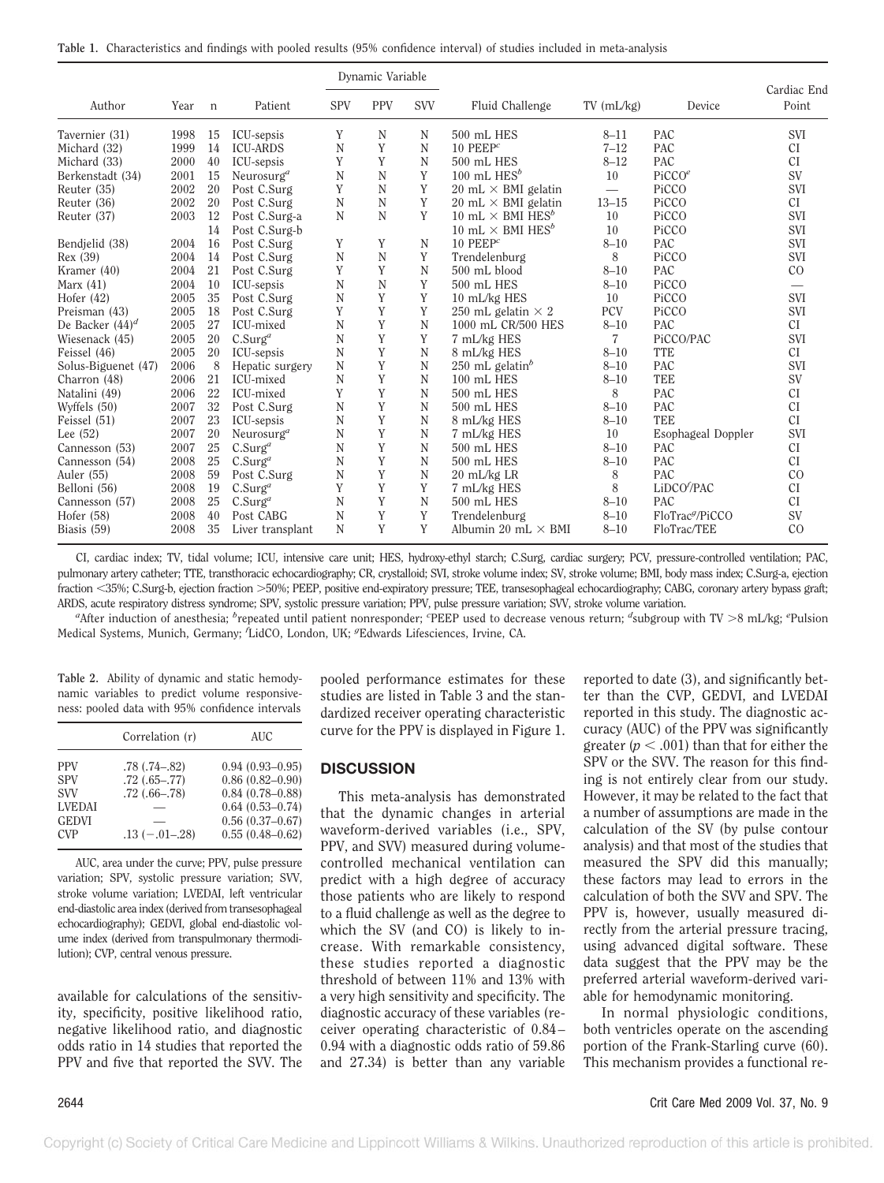|  | Table 1. Characteristics and findings with pooled results (95% confidence interval) of studies included in meta-analysis |  |  |  |  |  |  |  |  |
|--|--------------------------------------------------------------------------------------------------------------------------|--|--|--|--|--|--|--|--|
|--|--------------------------------------------------------------------------------------------------------------------------|--|--|--|--|--|--|--|--|

|                     |      |             |                        |            | Dynamic Variable |            |                                           |                 |                             |                      |
|---------------------|------|-------------|------------------------|------------|------------------|------------|-------------------------------------------|-----------------|-----------------------------|----------------------|
| Author              | Year | $\mathbf n$ | Patient                | <b>SPV</b> | <b>PPV</b>       | <b>SVV</b> | Fluid Challenge                           | $TV$ (mL/kg)    | Device                      | Cardiac End<br>Point |
| Tavernier (31)      | 1998 | 15          | ICU-sepsis             | Y          | N                | N          | 500 mL HES                                | $8 - 11$        | <b>PAC</b>                  | <b>SVI</b>           |
| Michard (32)        | 1999 | 14          | <b>ICU-ARDS</b>        | N          | Y                | N          | $10$ PEEP <sup>c</sup>                    | $7 - 12$        | PAC                         | CI                   |
| Michard (33)        | 2000 | 40          | ICU-sepsis             | Y          | Y                | N          | 500 mL HES                                | $8 - 12$        | PAC                         | CI                   |
| Berkenstadt (34)    | 2001 | 15          | Neurosurg <sup>a</sup> | N          | N                | Y          | 100 mL $HES^b$                            | 10              | PicCO <sup>e</sup>          | <b>SV</b>            |
| Reuter (35)         | 2002 | 20          | Post C.Surg            | Y          | N                | Y          | $20 \text{ mL} \times \text{BMI}$ gelatin | $\qquad \qquad$ | PiCCO                       | <b>SVI</b>           |
| Reuter (36)         | 2002 | 20          | Post C.Surg            | N          | N                | Y          | $20 \text{ mL} \times \text{BMI}$ gelatin | $13 - 15$       | PiCCO                       | <sub>CI</sub>        |
| Reuter (37)         | 2003 | 12          | Post C.Surg-a          | N          | N                | Y          | 10 mL $\times$ BMI HES <sup>b</sup>       | 10              | PiCCO                       | <b>SVI</b>           |
|                     |      | 14          | Post C.Surg-b          |            |                  |            | 10 mL $\times$ BMI HES <sup>b</sup>       | 10              | PiCCO                       | <b>SVI</b>           |
| Bendielid (38)      | 2004 | 16          | Post C.Surg            | Y          | Y                | N          | $10$ PEEP <sup>c</sup>                    | $8 - 10$        | <b>PAC</b>                  | <b>SVI</b>           |
| Rex (39)            | 2004 | 14          | Post C.Surg            | N          | N                | Y          | Trendelenburg                             | 8               | PiCCO                       | <b>SVI</b>           |
| Kramer $(40)$       | 2004 | 21          | Post C.Surg            | Y          | Y                | N          | 500 mL blood                              | $8 - 10$        | <b>PAC</b>                  | CO                   |
| Marx $(41)$         | 2004 | 10          | ICU-sepsis             | N          | N                | Y          | 500 mL HES                                | $8 - 10$        | PiCCO                       |                      |
| Hofer $(42)$        | 2005 | 35          | Post C.Surg            | N          | Y                | Y          | 10 mL/kg HES                              | 10              | PiCCO                       | <b>SVI</b>           |
| Preisman (43)       | 2005 | 18          | Post C.Surg            | Y          | Y                | Y          | 250 mL gelatin $\times$ 2                 | PCV             | PiCCO                       | <b>SVI</b>           |
| De Backer $(44)^d$  | 2005 | 27          | ICU-mixed              | N          | Y                | N          | 1000 mL CR/500 HES                        | $8 - 10$        | PAC                         | CI                   |
| Wiesenack (45)      | 2005 | 20          | C.Surg <sup>a</sup>    | N          | Y                | Y          | 7 mL/kg HES                               | $\overline{7}$  | PiCCO/PAC                   | <b>SVI</b>           |
| Feissel (46)        | 2005 | 20          | ICU-sepsis             | N          | Y                | N          | 8 mL/kg HES                               | $8 - 10$        | <b>TTE</b>                  | CI                   |
| Solus-Biguenet (47) | 2006 | 8           | Hepatic surgery        | N          | Y                | N          | $250$ mL gelatin <sup>b</sup>             | $8 - 10$        | <b>PAC</b>                  | <b>SVI</b>           |
| Charron (48)        | 2006 | 21          | ICU-mixed              | N          | Y                | N          | 100 mL HES                                | $8 - 10$        | <b>TEE</b>                  | <b>SV</b>            |
| Natalini (49)       | 2006 | 22          | ICU-mixed              | Y          | Y                | N          | 500 mL HES                                | 8               | <b>PAC</b>                  | CI                   |
| Wyffels (50)        | 2007 | 32          | Post C.Surg            | N          | Y                | N          | 500 mL HES                                | $8 - 10$        | <b>PAC</b>                  | <b>CI</b>            |
| Feissel (51)        | 2007 | 23          | ICU-sepsis             | N          | Y                | N          | 8 mL/kg HES                               | $8 - 10$        | <b>TEE</b>                  | CI                   |
| Lee $(52)$          | 2007 | 20          | Neurosurg <sup>a</sup> | N          | Y                | N          | 7 mL/kg HES                               | 10              | Esophageal Doppler          | <b>SVI</b>           |
| Cannesson (53)      | 2007 | 25          | $C.Surg^a$             | N          | Y                | N          | 500 mL HES                                | $8 - 10$        | PAC                         | <b>CI</b>            |
| Cannesson (54)      | 2008 | 25          | $C.Surg^a$             | N          | Y                | N          | 500 mL HES                                | $8 - 10$        | PAC                         | CI                   |
| Auler (55)          | 2008 | 59          | Post C.Surg            | N          | Y                | N          | 20 mL/kg LR                               | 8               | <b>PAC</b>                  | CO                   |
| Belloni (56)        | 2008 | 19          | C.Surg <sup>a</sup>    | Y          | Y                | Y          | 7 mL/kg HES                               | 8               | LiDCO/PAC                   | CI                   |
| Cannesson (57)      | 2008 | 25          | $C.Surg^a$             | N          | Y                | N          | 500 mL HES                                | $8 - 10$        | <b>PAC</b>                  | <b>CI</b>            |
| Hofer (58)          | 2008 | 40          | Post CABG              | N          | Y                | Y          | Trendelenburg                             | $8 - 10$        | FloTrac <sup>9</sup> /PiCCO | <b>SV</b>            |
| Biasis $(59)$       | 2008 | 35          | Liver transplant       | N          | Y                | Y          | Albumin 20 mL $\times$ BMI                | $8 - 10$        | FloTrac/TEE                 | CO                   |

CI, cardiac index; TV, tidal volume; ICU, intensive care unit; HES, hydroxy-ethyl starch; C.Surg, cardiac surgery; PCV, pressure-controlled ventilation; PAC, pulmonary artery catheter; TTE, transthoracic echocardiography; CR, crystalloid; SVI, stroke volume index; SV, stroke volume; BMI, body mass index; C.Surg-a, ejection fraction <35%; C.Surg-b, ejection fraction >50%; PEEP, positive end-expiratory pressure; TEE, transesophageal echocardiography; CABG, coronary artery bypass graft; ARDS, acute respiratory distress syndrome; SPV, systolic pressure variation; PPV, pulse pressure variation; SVV, stroke volume variation.

*a* After induction of anesthesia; *<sup>b</sup>* repeated until patient nonresponder; *<sup>c</sup>* PEEP used to decrease venous return; *<sup>d</sup>* subgroup with TV -8 mL/kg; *<sup>e</sup>* Pulsion Medical Systems, Munich, Germany; *<sup>f</sup>* LidCO, London, UK; *<sup>g</sup>* Edwards Lifesciences, Irvine, CA.

**Table 2.** Ability of dynamic and static hemodynamic variables to predict volume responsiveness: pooled data with 95% confidence intervals

|               | Correlation (r)     | <b>AUC</b>          |
|---------------|---------------------|---------------------|
| <b>PPV</b>    | $.78$ $(.74 - .82)$ | $0.94(0.93 - 0.95)$ |
| <b>SPV</b>    | $.72(.65-.77)$      | $0.86(0.82 - 0.90)$ |
| <b>SVV</b>    | $.72$ $(.66-.78)$   | $0.84(0.78 - 0.88)$ |
| <b>LVEDAI</b> |                     | $0.64(0.53 - 0.74)$ |
| <b>GEDVI</b>  |                     | $0.56(0.37-0.67)$   |
| <b>CVP</b>    | $.13(-.01-.28)$     | $0.55(0.48 - 0.62)$ |

AUC, area under the curve; PPV, pulse pressure variation; SPV, systolic pressure variation; SVV, stroke volume variation; LVEDAI, left ventricular end-diastolic area index (derived from transesophageal echocardiography); GEDVI, global end-diastolic volume index (derived from transpulmonary thermodilution); CVP, central venous pressure.

available for calculations of the sensitivity, specificity, positive likelihood ratio, negative likelihood ratio, and diagnostic odds ratio in 14 studies that reported the PPV and five that reported the SVV. The pooled performance estimates for these studies are listed in Table 3 and the standardized receiver operating characteristic curve for the PPV is displayed in Figure 1.

#### **DISCUSSION**

This meta-analysis has demonstrated that the dynamic changes in arterial waveform-derived variables (i.e., SPV, PPV, and SVV) measured during volumecontrolled mechanical ventilation can predict with a high degree of accuracy those patients who are likely to respond to a fluid challenge as well as the degree to which the SV (and CO) is likely to increase. With remarkable consistency, these studies reported a diagnostic threshold of between 11% and 13% with a very high sensitivity and specificity. The diagnostic accuracy of these variables (receiver operating characteristic of 0.84 – 0.94 with a diagnostic odds ratio of 59.86 and 27.34) is better than any variable

reported to date (3), and significantly better than the CVP, GEDVI, and LVEDAI reported in this study. The diagnostic accuracy (AUC) of the PPV was significantly greater  $(p < .001)$  than that for either the SPV or the SVV. The reason for this finding is not entirely clear from our study. However, it may be related to the fact that a number of assumptions are made in the calculation of the SV (by pulse contour analysis) and that most of the studies that measured the SPV did this manually; these factors may lead to errors in the calculation of both the SVV and SPV. The PPV is, however, usually measured directly from the arterial pressure tracing, using advanced digital software. These data suggest that the PPV may be the preferred arterial waveform-derived variable for hemodynamic monitoring.

In normal physiologic conditions, both ventricles operate on the ascending portion of the Frank-Starling curve (60). This mechanism provides a functional re-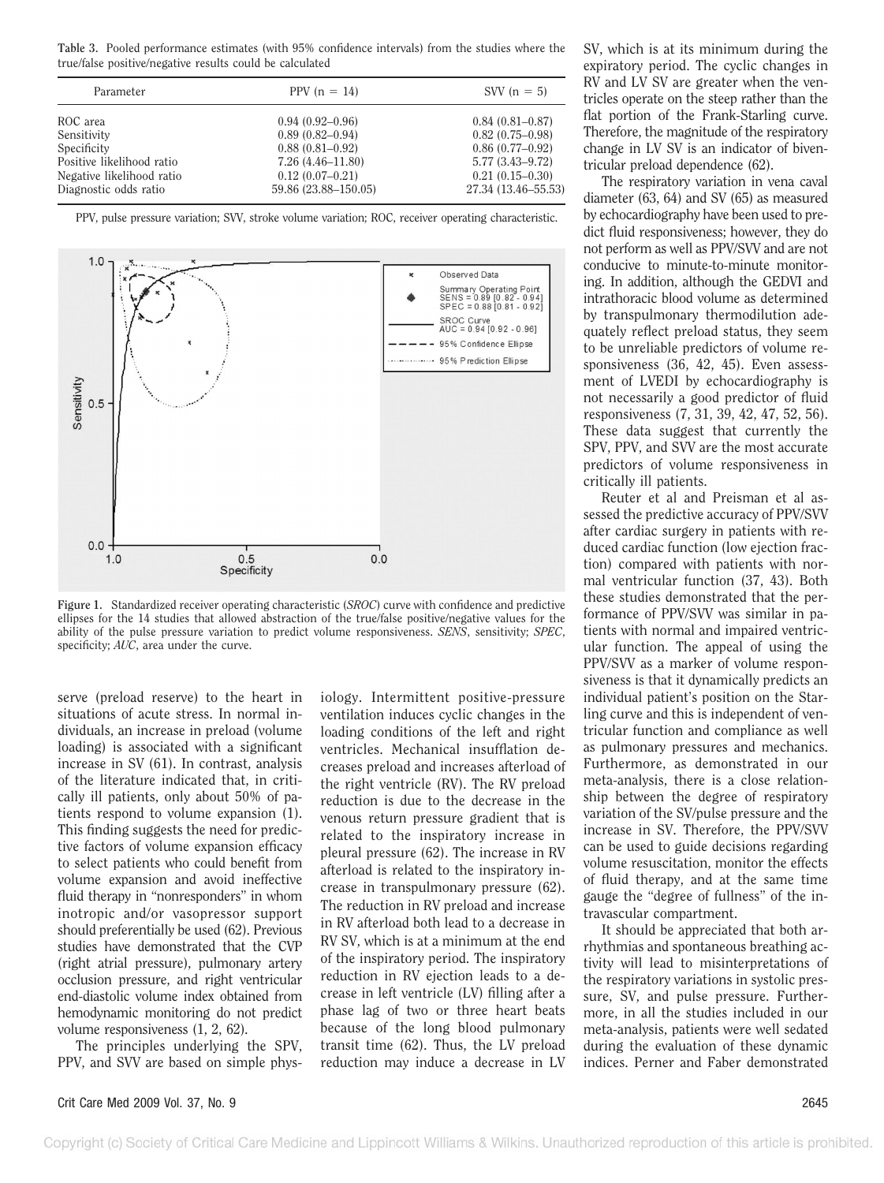**Table 3.** Pooled performance estimates (with 95% confidence intervals) from the studies where the true/false positive/negative results could be calculated

| Parameter                 | PPV $(n = 14)$       | SVV $(n = 5)$       |
|---------------------------|----------------------|---------------------|
| ROC area                  | $0.94(0.92 - 0.96)$  | $0.84(0.81 - 0.87)$ |
| Sensitivity               | $0.89(0.82 - 0.94)$  | $0.82(0.75-0.98)$   |
| Specificity               | $0.88(0.81 - 0.92)$  | $0.86(0.77-0.92)$   |
| Positive likelihood ratio | $7.26(4.46 - 11.80)$ | $5.77(3.43 - 9.72)$ |
| Negative likelihood ratio | $0.12(0.07-0.21)$    | $0.21(0.15-0.30)$   |
| Diagnostic odds ratio     | 59.86 (23.88-150.05) | 27.34 (13.46–55.53) |

PPV, pulse pressure variation; SVV, stroke volume variation; ROC, receiver operating characteristic.



**Figure 1.** Standardized receiver operating characteristic (*SROC*) curve with confidence and predictive ellipses for the 14 studies that allowed abstraction of the true/false positive/negative values for the ability of the pulse pressure variation to predict volume responsiveness. *SENS*, sensitivity; *SPEC*, specificity; *AUC*, area under the curve.

serve (preload reserve) to the heart in situations of acute stress. In normal individuals, an increase in preload (volume loading) is associated with a significant increase in SV (61). In contrast, analysis of the literature indicated that, in critically ill patients, only about 50% of patients respond to volume expansion (1). This finding suggests the need for predictive factors of volume expansion efficacy to select patients who could benefit from volume expansion and avoid ineffective fluid therapy in "nonresponders" in whom inotropic and/or vasopressor support should preferentially be used (62). Previous studies have demonstrated that the CVP (right atrial pressure), pulmonary artery occlusion pressure, and right ventricular end-diastolic volume index obtained from hemodynamic monitoring do not predict volume responsiveness (1, 2, 62).

The principles underlying the SPV, PPV, and SVV are based on simple phys-

iology. Intermittent positive-pressure ventilation induces cyclic changes in the loading conditions of the left and right ventricles. Mechanical insufflation decreases preload and increases afterload of the right ventricle (RV). The RV preload reduction is due to the decrease in the venous return pressure gradient that is related to the inspiratory increase in pleural pressure (62). The increase in RV afterload is related to the inspiratory increase in transpulmonary pressure (62). The reduction in RV preload and increase in RV afterload both lead to a decrease in RV SV, which is at a minimum at the end of the inspiratory period. The inspiratory reduction in RV ejection leads to a decrease in left ventricle (LV) filling after a phase lag of two or three heart beats because of the long blood pulmonary transit time (62). Thus, the LV preload reduction may induce a decrease in LV SV, which is at its minimum during the expiratory period. The cyclic changes in RV and LV SV are greater when the ventricles operate on the steep rather than the flat portion of the Frank-Starling curve. Therefore, the magnitude of the respiratory change in LV SV is an indicator of biventricular preload dependence (62).

The respiratory variation in vena caval diameter (63, 64) and SV (65) as measured by echocardiography have been used to predict fluid responsiveness; however, they do not perform as well as PPV/SVV and are not conducive to minute-to-minute monitoring. In addition, although the GEDVI and intrathoracic blood volume as determined by transpulmonary thermodilution adequately reflect preload status, they seem to be unreliable predictors of volume responsiveness (36, 42, 45). Even assessment of LVEDI by echocardiography is not necessarily a good predictor of fluid responsiveness (7, 31, 39, 42, 47, 52, 56). These data suggest that currently the SPV, PPV, and SVV are the most accurate predictors of volume responsiveness in critically ill patients.

Reuter et al and Preisman et al assessed the predictive accuracy of PPV/SVV after cardiac surgery in patients with reduced cardiac function (low ejection fraction) compared with patients with normal ventricular function (37, 43). Both these studies demonstrated that the performance of PPV/SVV was similar in patients with normal and impaired ventricular function. The appeal of using the PPV/SVV as a marker of volume responsiveness is that it dynamically predicts an individual patient's position on the Starling curve and this is independent of ventricular function and compliance as well as pulmonary pressures and mechanics. Furthermore, as demonstrated in our meta-analysis, there is a close relationship between the degree of respiratory variation of the SV/pulse pressure and the increase in SV. Therefore, the PPV/SVV can be used to guide decisions regarding volume resuscitation, monitor the effects of fluid therapy, and at the same time gauge the "degree of fullness" of the intravascular compartment.

It should be appreciated that both arrhythmias and spontaneous breathing activity will lead to misinterpretations of the respiratory variations in systolic pressure, SV, and pulse pressure. Furthermore, in all the studies included in our meta-analysis, patients were well sedated during the evaluation of these dynamic indices. Perner and Faber demonstrated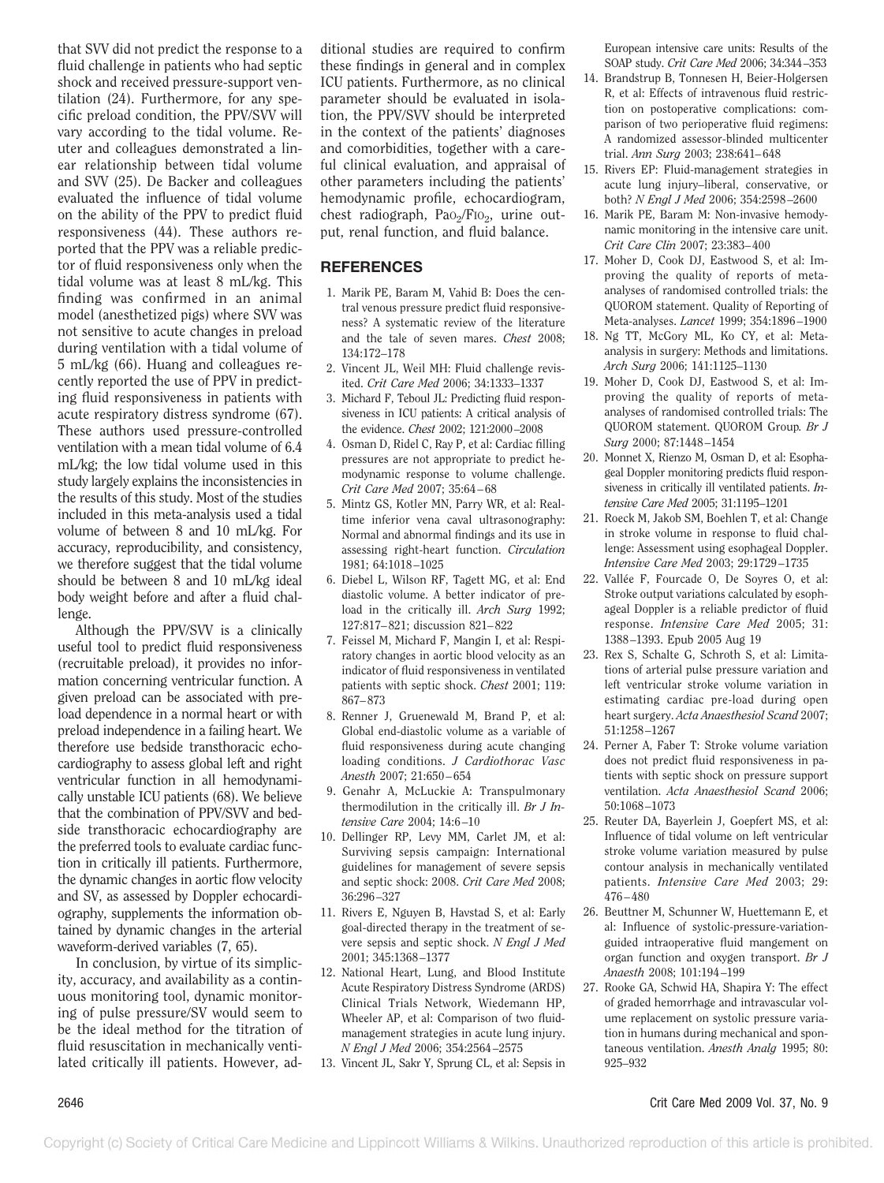that SVV did not predict the response to a fluid challenge in patients who had septic shock and received pressure-support ventilation (24). Furthermore, for any specific preload condition, the PPV/SVV will vary according to the tidal volume. Reuter and colleagues demonstrated a linear relationship between tidal volume and SVV (25). De Backer and colleagues evaluated the influence of tidal volume on the ability of the PPV to predict fluid responsiveness (44). These authors reported that the PPV was a reliable predictor of fluid responsiveness only when the tidal volume was at least 8 mL/kg. This finding was confirmed in an animal model (anesthetized pigs) where SVV was not sensitive to acute changes in preload during ventilation with a tidal volume of 5 mL/kg (66). Huang and colleagues recently reported the use of PPV in predicting fluid responsiveness in patients with acute respiratory distress syndrome (67). These authors used pressure-controlled ventilation with a mean tidal volume of 6.4 mL/kg; the low tidal volume used in this study largely explains the inconsistencies in the results of this study. Most of the studies included in this meta-analysis used a tidal volume of between 8 and 10 mL/kg. For accuracy, reproducibility, and consistency, we therefore suggest that the tidal volume should be between 8 and 10 mL/kg ideal body weight before and after a fluid challenge.

Although the PPV/SVV is a clinically useful tool to predict fluid responsiveness (recruitable preload), it provides no information concerning ventricular function. A given preload can be associated with preload dependence in a normal heart or with preload independence in a failing heart. We therefore use bedside transthoracic echocardiography to assess global left and right ventricular function in all hemodynamically unstable ICU patients (68). We believe that the combination of PPV/SVV and bedside transthoracic echocardiography are the preferred tools to evaluate cardiac function in critically ill patients. Furthermore, the dynamic changes in aortic flow velocity and SV, as assessed by Doppler echocardiography, supplements the information obtained by dynamic changes in the arterial waveform-derived variables (7, 65).

In conclusion, by virtue of its simplicity, accuracy, and availability as a continuous monitoring tool, dynamic monitoring of pulse pressure/SV would seem to be the ideal method for the titration of fluid resuscitation in mechanically ventilated critically ill patients. However, ad-

ditional studies are required to confirm these findings in general and in complex ICU patients. Furthermore, as no clinical parameter should be evaluated in isolation, the PPV/SVV should be interpreted in the context of the patients' diagnoses and comorbidities, together with a careful clinical evaluation, and appraisal of other parameters including the patients' hemodynamic profile, echocardiogram, chest radiograph,  $PaO<sub>2</sub>/FIO<sub>2</sub>$ , urine output, renal function, and fluid balance.

## **REFERENCES**

- 1. Marik PE, Baram M, Vahid B: Does the central venous pressure predict fluid responsiveness? A systematic review of the literature and the tale of seven mares. *Chest* 2008; 134:172–178
- 2. Vincent JL, Weil MH: Fluid challenge revisited. *Crit Care Med* 2006; 34:1333–1337
- 3. Michard F, Teboul JL: Predicting fluid responsiveness in ICU patients: A critical analysis of the evidence. *Chest* 2002; 121:2000 –2008
- 4. Osman D, Ridel C, Ray P, et al: Cardiac filling pressures are not appropriate to predict hemodynamic response to volume challenge. *Crit Care Med* 2007; 35:64 – 68
- 5. Mintz GS, Kotler MN, Parry WR, et al: Realtime inferior vena caval ultrasonography: Normal and abnormal findings and its use in assessing right-heart function. *Circulation* 1981; 64:1018 –1025
- 6. Diebel L, Wilson RF, Tagett MG, et al: End diastolic volume. A better indicator of preload in the critically ill. *Arch Surg* 1992; 127:817– 821; discussion 821– 822
- 7. Feissel M, Michard F, Mangin I, et al: Respiratory changes in aortic blood velocity as an indicator of fluid responsiveness in ventilated patients with septic shock. *Chest* 2001; 119: 867– 873
- 8. Renner J, Gruenewald M, Brand P, et al: Global end-diastolic volume as a variable of fluid responsiveness during acute changing loading conditions. *J Cardiothorac Vasc Anesth* 2007; 21:650 – 654
- 9. Genahr A, McLuckie A: Transpulmonary thermodilution in the critically ill. *Br J Intensive Care* 2004; 14:6 –10
- 10. Dellinger RP, Levy MM, Carlet JM, et al: Surviving sepsis campaign: International guidelines for management of severe sepsis and septic shock: 2008. *Crit Care Med* 2008; 36:296 –327
- 11. Rivers E, Nguyen B, Havstad S, et al: Early goal-directed therapy in the treatment of severe sepsis and septic shock. *N Engl J Med* 2001; 345:1368 –1377
- 12. National Heart, Lung, and Blood Institute Acute Respiratory Distress Syndrome (ARDS) Clinical Trials Network, Wiedemann HP, Wheeler AP, et al: Comparison of two fluidmanagement strategies in acute lung injury. *N Engl J Med* 2006; 354:2564 –2575
- 13. Vincent JL, Sakr Y, Sprung CL, et al: Sepsis in

European intensive care units: Results of the SOAP study. *Crit Care Med* 2006; 34:344 –353

- 14. Brandstrup B, Tonnesen H, Beier-Holgersen R, et al: Effects of intravenous fluid restriction on postoperative complications: comparison of two perioperative fluid regimens: A randomized assessor-blinded multicenter trial. *Ann Surg* 2003; 238:641– 648
- 15. Rivers EP: Fluid-management strategies in acute lung injury–liberal, conservative, or both? *N Engl J Med* 2006; 354:2598 –2600
- 16. Marik PE, Baram M: Non-invasive hemodynamic monitoring in the intensive care unit. *Crit Care Clin* 2007; 23:383– 400
- 17. Moher D, Cook DJ, Eastwood S, et al: Improving the quality of reports of metaanalyses of randomised controlled trials: the QUOROM statement. Quality of Reporting of Meta-analyses. *Lancet* 1999; 354:1896 –1900
- 18. Ng TT, McGory ML, Ko CY, et al: Metaanalysis in surgery: Methods and limitations. *Arch Surg* 2006; 141:1125–1130
- 19. Moher D, Cook DJ, Eastwood S, et al: Improving the quality of reports of metaanalyses of randomised controlled trials: The QUOROM statement. QUOROM Group*. Br J Surg* 2000; 87:1448 –1454
- 20. Monnet X, Rienzo M, Osman D, et al: Esophageal Doppler monitoring predicts fluid responsiveness in critically ill ventilated patients. *Intensive Care Med* 2005; 31:1195–1201
- 21. Roeck M, Jakob SM, Boehlen T, et al: Change in stroke volume in response to fluid challenge: Assessment using esophageal Doppler. *Intensive Care Med* 2003; 29:1729 –1735
- 22. Vallée F, Fourcade O, De Soyres O, et al: Stroke output variations calculated by esophageal Doppler is a reliable predictor of fluid response. *Intensive Care Med* 2005; 31: 1388 –1393. Epub 2005 Aug 19
- 23. Rex S, Schalte G, Schroth S, et al: Limitations of arterial pulse pressure variation and left ventricular stroke volume variation in estimating cardiac pre-load during open heart surgery. *Acta Anaesthesiol Scand* 2007; 51:1258 –1267
- 24. Perner A, Faber T: Stroke volume variation does not predict fluid responsiveness in patients with septic shock on pressure support ventilation. *Acta Anaesthesiol Scand* 2006; 50:1068 –1073
- 25. Reuter DA, Bayerlein J, Goepfert MS, et al: Influence of tidal volume on left ventricular stroke volume variation measured by pulse contour analysis in mechanically ventilated patients. *Intensive Care Med* 2003; 29: 476 – 480
- 26. Beuttner M, Schunner W, Huettemann E, et al: Influence of systolic-pressure-variationguided intraoperative fluid mangement on organ function and oxygen transport. *Br J Anaesth* 2008; 101:194 –199
- 27. Rooke GA, Schwid HA, Shapira Y: The effect of graded hemorrhage and intravascular volume replacement on systolic pressure variation in humans during mechanical and spontaneous ventilation. *Anesth Analg* 1995; 80: 925–932